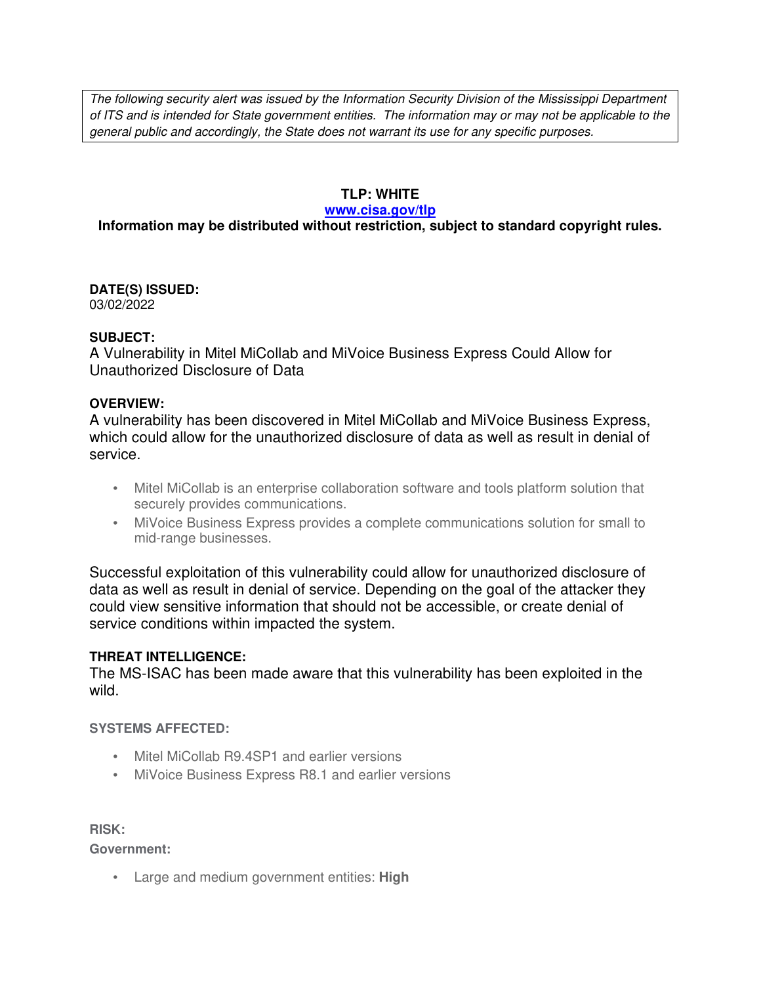The following security alert was issued by the Information Security Division of the Mississippi Department of ITS and is intended for State government entities. The information may or may not be applicable to the general public and accordingly, the State does not warrant its use for any specific purposes.

# **TLP: WHITE**

#### **www.cisa.gov/tlp**

# **Information may be distributed without restriction, subject to standard copyright rules.**

**DATE(S) ISSUED:** 03/02/2022

#### **SUBJECT:**

A Vulnerability in Mitel MiCollab and MiVoice Business Express Could Allow for Unauthorized Disclosure of Data

# **OVERVIEW:**

A vulnerability has been discovered in Mitel MiCollab and MiVoice Business Express, which could allow for the unauthorized disclosure of data as well as result in denial of service.

- Mitel MiCollab is an enterprise collaboration software and tools platform solution that securely provides communications.
- MiVoice Business Express provides a complete communications solution for small to mid-range businesses.

Successful exploitation of this vulnerability could allow for unauthorized disclosure of data as well as result in denial of service. Depending on the goal of the attacker they could view sensitive information that should not be accessible, or create denial of service conditions within impacted the system.

# **THREAT INTELLIGENCE:**

The MS-ISAC has been made aware that this vulnerability has been exploited in the wild.

# **SYSTEMS AFFECTED:**

- Mitel MiCollab R9.4SP1 and earlier versions
- MiVoice Business Express R8.1 and earlier versions

**RISK:** 

**Government:**

• Large and medium government entities: **High**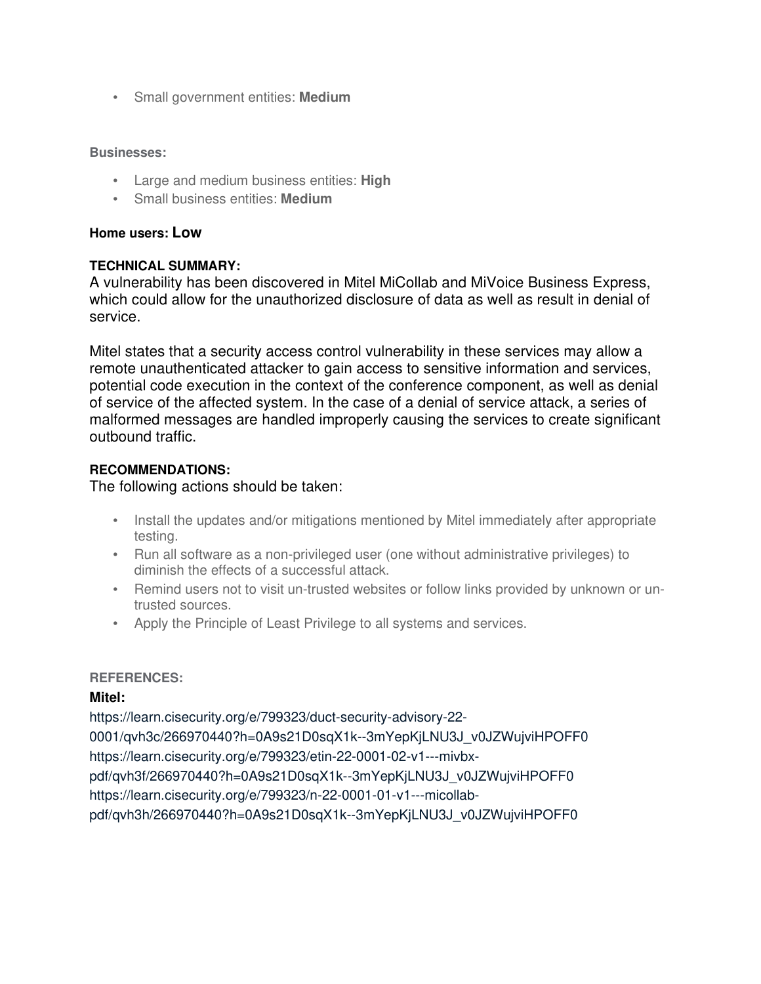• Small government entities: **Medium**

#### **Businesses:**

- Large and medium business entities: **High**
- Small business entities: **Medium**

# **Home users: Low**

# **TECHNICAL SUMMARY:**

A vulnerability has been discovered in Mitel MiCollab and MiVoice Business Express, which could allow for the unauthorized disclosure of data as well as result in denial of service.

Mitel states that a security access control vulnerability in these services may allow a remote unauthenticated attacker to gain access to sensitive information and services, potential code execution in the context of the conference component, as well as denial of service of the affected system. In the case of a denial of service attack, a series of malformed messages are handled improperly causing the services to create significant outbound traffic.

# **RECOMMENDATIONS:**

The following actions should be taken:

- Install the updates and/or mitigations mentioned by Mitel immediately after appropriate testing.
- Run all software as a non-privileged user (one without administrative privileges) to diminish the effects of a successful attack.
- Remind users not to visit un-trusted websites or follow links provided by unknown or untrusted sources.
- Apply the Principle of Least Privilege to all systems and services.

# **REFERENCES:**

# **Mitel:**

https://learn.cisecurity.org/e/799323/duct-security-advisory-22- 0001/qvh3c/266970440?h=0A9s21D0sqX1k--3mYepKjLNU3J\_v0JZWujviHPOFF0 https://learn.cisecurity.org/e/799323/etin-22-0001-02-v1---mivbxpdf/qvh3f/266970440?h=0A9s21D0sqX1k--3mYepKjLNU3J\_v0JZWujviHPOFF0 https://learn.cisecurity.org/e/799323/n-22-0001-01-v1---micollabpdf/qvh3h/266970440?h=0A9s21D0sqX1k--3mYepKjLNU3J\_v0JZWujviHPOFF0